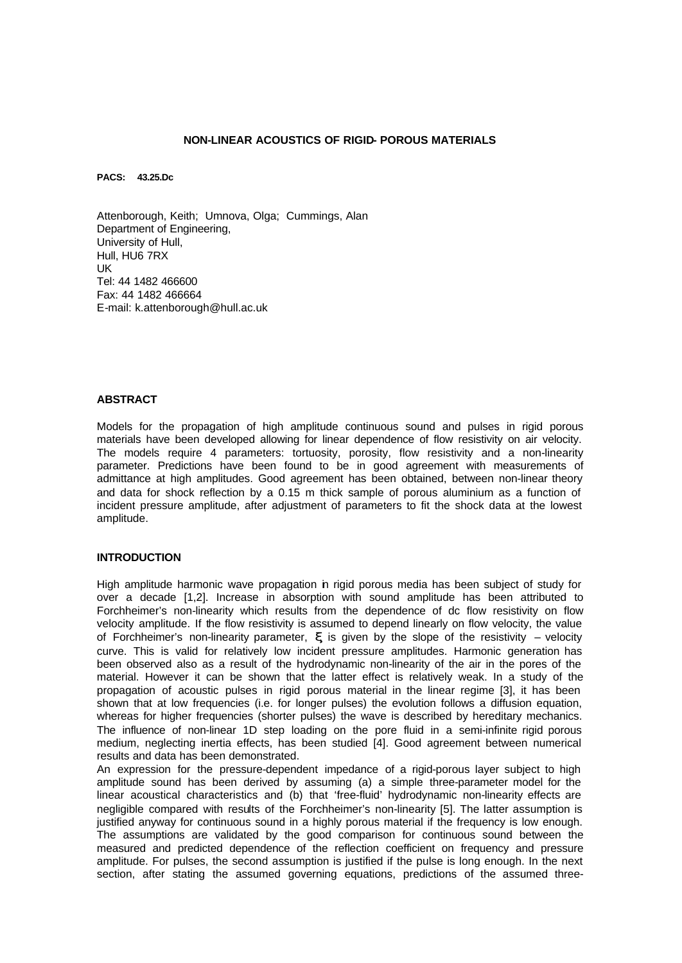## **NON-LINEAR ACOUSTICS OF RIGID- POROUS MATERIALS**

**PACS: 43.25.Dc**

Attenborough, Keith; Umnova, Olga; Cummings, Alan Department of Engineering, University of Hull, Hull, HU6 7RX UK Tel: 44 1482 466600 Fax: 44 1482 466664 E-mail: k.attenborough@hull.ac.uk

#### **ABSTRACT**

Models for the propagation of high amplitude continuous sound and pulses in rigid porous materials have been developed allowing for linear dependence of flow resistivity on air velocity. The models require 4 parameters: tortuosity, porosity, flow resistivity and a non-linearity parameter. Predictions have been found to be in good agreement with measurements of admittance at high amplitudes. Good agreement has been obtained, between non-linear theory and data for shock reflection by a 0.15 m thick sample of porous aluminium as a function of incident pressure amplitude, after adjustment of parameters to fit the shock data at the lowest amplitude.

# **INTRODUCTION**

High amplitude harmonic wave propagation in rigid porous media has been subject of study for over a decade [1,2]. Increase in absorption with sound amplitude has been attributed to Forchheimer's non-linearity which results from the dependence of dc flow resistivity on flow velocity amplitude. If the flow resistivity is assumed to depend linearly on flow velocity, the value of Forchheimer's non-linearity parameter, *x*, is given by the slope of the resistivity – velocity curve. This is valid for relatively low incident pressure amplitudes. Harmonic generation has been observed also as a result of the hydrodynamic non-linearity of the air in the pores of the material. However it can be shown that the latter effect is relatively weak. In a study of the propagation of acoustic pulses in rigid porous material in the linear regime [3], it has been shown that at low frequencies (i.e. for longer pulses) the evolution follows a diffusion equation, whereas for higher frequencies (shorter pulses) the wave is described by hereditary mechanics. The influence of non-linear 1D step loading on the pore fluid in a semi-infinite rigid porous medium, neglecting inertia effects, has been studied [4]. Good agreement between numerical results and data has been demonstrated.

An expression for the pressure-dependent impedance of a rigid-porous layer subject to high amplitude sound has been derived by assuming (a) a simple three-parameter model for the linear acoustical characteristics and (b) that 'free-fluid' hydrodynamic non-linearity effects are negligible compared with results of the Forchheimer's non-linearity [5]. The latter assumption is justified anyway for continuous sound in a highly porous material if the frequency is low enough. The assumptions are validated by the good comparison for continuous sound between the measured and predicted dependence of the reflection coefficient on frequency and pressure amplitude. For pulses, the second assumption is justified if the pulse is long enough. In the next section, after stating the assumed governing equations, predictions of the assumed three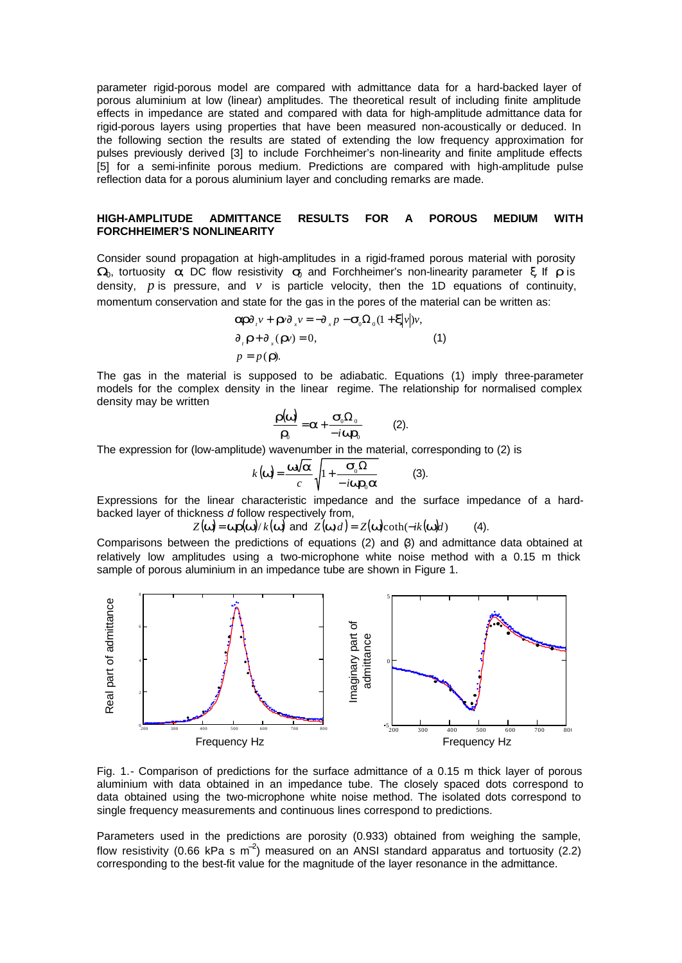parameter rigid-porous model are compared with admittance data for a hard-backed layer of porous aluminium at low (linear) amplitudes. The theoretical result of including finite amplitude effects in impedance are stated and compared with data for high-amplitude admittance data for rigid-porous layers using properties that have been measured non-acoustically or deduced. In the following section the results are stated of extending the low frequency approximation for pulses previously derived [3] to include Forchheimer's non-linearity and finite amplitude effects [5] for a semi-infinite porous medium. Predictions are compared with high-amplitude pulse reflection data for a porous aluminium layer and concluding remarks are made.

# **HIGH-AMPLITUDE ADMITTANCE RESULTS FOR A POROUS MEDIUM WITH FORCHHEIMER'S NONLINEARITY**

Consider sound propagation at high-amplitudes in a rigid-framed porous material with porosity *W*<sub>0</sub>, tortuosity *a*, DC flow resistivity *s*<sub>0</sub> and Forchheimer's non-linearity parameter ξ. If *r* is density,  $p$  is pressure, and  $v$  is particle velocity, then the 1D equations of continuity, momentum conservation and state for the gas in the pores of the material can be written as:

$$
\begin{aligned} \n\mathbf{a}\mathbf{r}\partial_{\mu}v + \mathbf{r}\nu\partial_{\mu}v &= -\partial_{\mu}p - \mathbf{S}_{0}\Omega_{0}(1 + \mathbf{x}|v|)v, \\ \n\partial_{\mu}\mathbf{r} + \partial_{\mu}(\mathbf{r}v) &= 0, \\ \np &= p(\mathbf{r}).\n\end{aligned} \tag{1}
$$

The gas in the material is supposed to be adiabatic. Equations (1) imply three-parameter models for the complex density in the linear regime. The relationship for normalised complex density may be written

$$
\frac{\mathbf{r}(\mathbf{w})}{\mathbf{r}_0} = \mathbf{a} + \frac{\mathbf{s}_0 \Omega_0}{-i \mathbf{w} \mathbf{r}_0}
$$
 (2).

The expression for (low-amplitude) wavenumber in the material, corresponding to (2) is

$$
k(\mathbf{w}) = \frac{\mathbf{w}\sqrt{\mathbf{a}}}{c} \sqrt{1 + \frac{\mathbf{S}_0 \Omega}{-i \mathbf{w} \mathbf{r}_0 \mathbf{a}}}
$$
 (3).

Expressions for the linear characteristic impedance and the surface impedance of a hardbacked layer of thickness *d* follow respectively from,

 $Z(\mathbf{w}) = \mathbf{w} \mathbf{r}(\mathbf{w}) / k(\mathbf{w})$  and  $Z(\mathbf{w}, d) = Z(\mathbf{w}) \text{coth}(-ik(\mathbf{w})d)$  (4).

Comparisons between the predictions of equations  $(2)$  and  $(3)$  and admittance data obtained at relatively low amplitudes using a two-microphone white noise method with a 0.15 m thick sample of porous aluminium in an impedance tube are shown in Figure 1.



Fig. 1.- Comparison of predictions for the surface admittance of a 0.15 m thick layer of porous aluminium with data obtained in an impedance tube. The closely spaced dots correspond to data obtained using the two-microphone white noise method. The isolated dots correspond to single frequency measurements and continuous lines correspond to predictions.

Parameters used in the predictions are porosity (0.933) obtained from weighing the sample, flow resistivity (0.66 kPa s m<sup>-2</sup>) measured on an ANSI standard apparatus and tortuosity (2.2) corresponding to the best-fit value for the magnitude of the layer resonance in the admittance.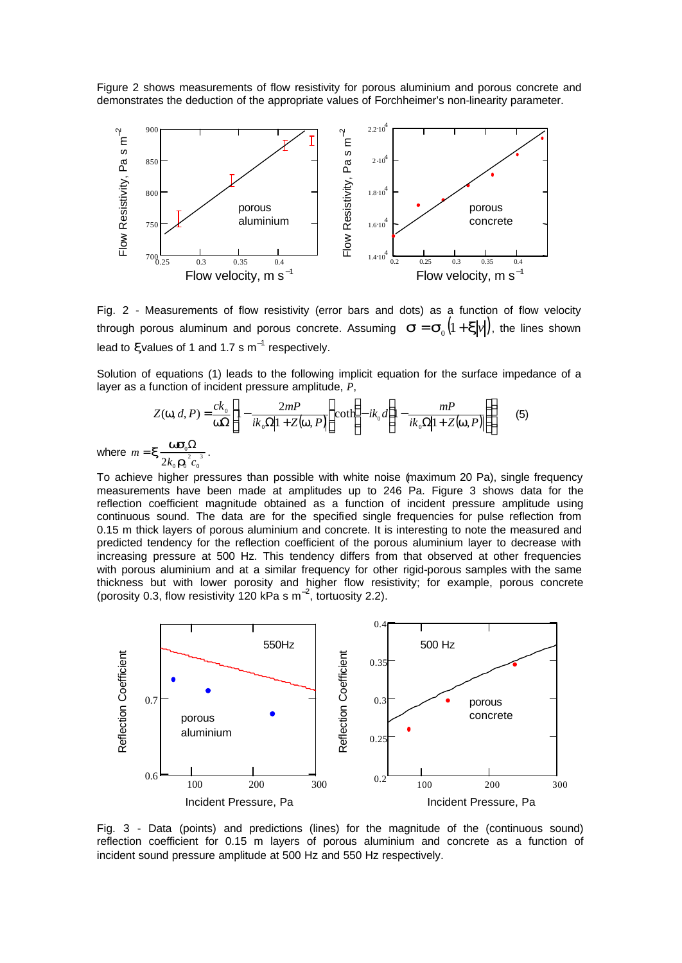Figure 2 shows measurements of flow resistivity for porous aluminium and porous concrete and demonstrates the deduction of the appropriate values of Forchheimer's non-linearity parameter.



Fig. 2 - Measurements of flow resistivity (error bars and dots) as a function of flow velocity through porous aluminum and porous concrete. Assuming  $|\bm{s} \!=\! \bm{s}_{\text{o}}\big( \! 1 \! + \! \bm{x} \! \vert \nu \vert \big)$ , the lines shown lead to *x*values of 1 and 1.7 s m<sup>-1</sup> respectively.

Solution of equations (1) leads to the following implicit equation for the surface impedance of a layer as a function of incident pressure amplitude, *P*,

$$
Z(\mathbf{w}, d, P) = \frac{ck_0}{\mathbf{w}\Omega} \left[ 1 - \frac{2mP}{ik_0\Omega|1 + Z(\mathbf{w}, P)} \right] \coth\left(-ik_0d\left(1 - \frac{mP}{ik_0\Omega|1 + Z(\mathbf{w}, P)}\right)\right) \tag{5}
$$

$$
\mathbf{x} = \frac{\mathbf{w}\mathbf{s}_0\Omega}{2k_0\mathbf{r}_0^2 c_0^3}.
$$

where  $m = x \frac{\sqrt{2}a^2}{a^2}$ 0  $_0 \bullet$ <sub>0</sub>  $=$   $\boldsymbol{X} \frac{\boldsymbol{W} \boldsymbol{\omega}_0 \boldsymbol{\omega}_1}{2}$ .

To achieve higher pressures than possible with white noise (maximum 20 Pa), single frequency measurements have been made at amplitudes up to 246 Pa. Figure 3 shows data for the reflection coefficient magnitude obtained as a function of incident pressure amplitude using continuous sound. The data are for the specified single frequencies for pulse reflection from 0.15 m thick layers of porous aluminium and concrete. It is interesting to note the measured and predicted tendency for the reflection coefficient of the porous aluminium layer to decrease with increasing pressure at 500 Hz. This tendency differs from that observed at other frequencies with porous aluminium and at a similar frequency for other rigid-porous samples with the same thickness but with lower porosity and higher flow resistivity; for example, porous concrete (porosity 0.3, flow resistivity 120 kPa s  $m^{-2}$ , tortuosity 2.2).



Fig. 3 - Data (points) and predictions (lines) for the magnitude of the (continuous sound) reflection coefficient for 0.15 m layers of porous aluminium and concrete as a function of incident sound pressure amplitude at 500 Hz and 550 Hz respectively.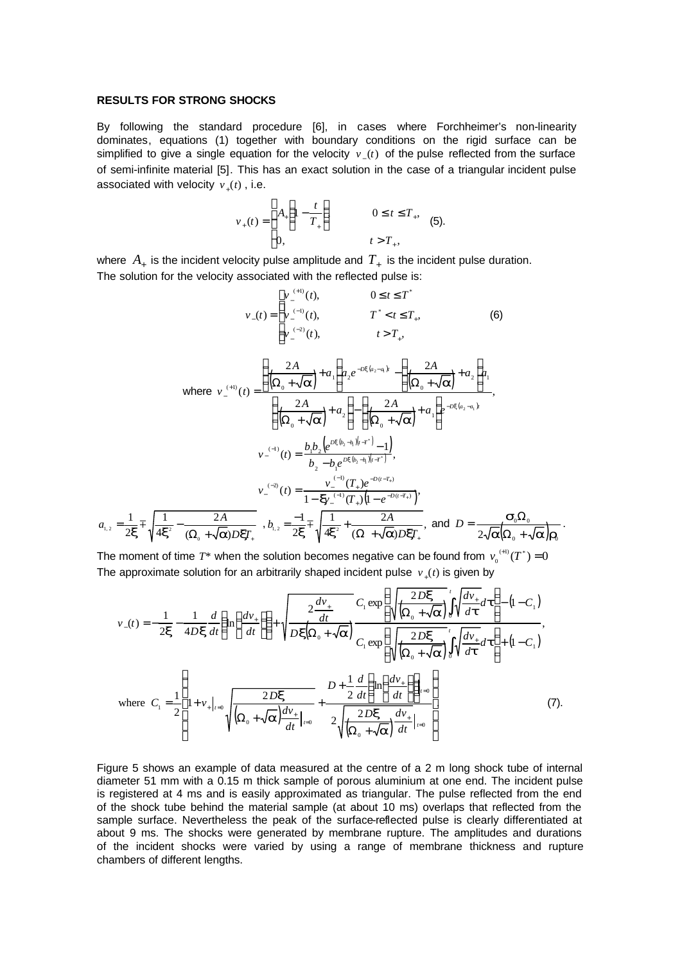#### **RESULTS FOR STRONG SHOCKS**

By following the standard procedure [6], in cases where Forchheimer's non-linearity dominates, equations (1) together with boundary conditions on the rigid surface can be simplified to give a single equation for the velocity  $v_-(t)$  of the pulse reflected from the surface of semi-infinite material [5]. This has an exact solution in the case of a triangular incident pulse associated with velocity  $v_+(t)$  , i.e.

$$
v_{+}(t) = \begin{cases} A_{+} \left( 1 - \frac{t}{T_{+}} \right) & 0 \leq t \leq T_{+}, \\ 0, & t > T_{+}, \end{cases}
$$
 (5).

where  $A_{+}$  is the incident velocity pulse amplitude and  $T_{+}$  is the incident pulse duration. The solution for the velocity associated with the reflected pulse is:

$$
v_{-}(t) = \begin{cases} v_{-}^{(+1)}(t), & 0 \leq t \leq T^{*} \\ v_{-}^{(-1)}(t), & T^{*} < t \leq T_{+}, \\ v_{-}^{(-2)}(t), & t > T_{+}, \end{cases}
$$
(6)  
\nwhere  $v_{-}^{(+1)}(t) = \frac{\left(\frac{2A}{\left(\Omega_{0} + \sqrt{a}\right)} + a_{1}\right)a_{2}e^{-Dx(a_{2} - a_{1})t} - \left(\frac{2A}{\left(\Omega_{0} + \sqrt{a}\right)} + a_{2}\right)a_{1}}{\left(\frac{2A}{\left(\Omega_{0} + \sqrt{a}\right)} + a_{2}\right) - \left(\frac{2A}{\left(\Omega_{0} + \sqrt{a}\right)} + a_{1}\right)e^{-Dx(a_{2} - a_{1})t}}, \\ v_{-}^{(-1)}(t) = \frac{b_{1}b_{2}\left(e^{Dx(b_{2} - b_{1})(t - t^{*})} - 1\right)}{b_{2} - b_{1}e^{Dx(b_{2} - b_{1})(t - t^{*})}}, \\ v_{-}^{(-2)}(t) = \frac{v_{-}^{(-1)}(T_{+})e^{-D(x-T_{+})}}{1 - \mathbf{w}_{-}^{(-1)}(T_{+})\left(1 - e^{-D(x-T_{+})}\right)}, \\ a_{1,2} = \frac{1}{2x} \pm \sqrt{\frac{1}{4x^{2}} - \frac{2A}{(\Omega_{0} + \sqrt{a})DxT_{+}}}, b_{1,2} = \frac{-1}{2x} \pm \sqrt{\frac{1}{4x^{2}} + \frac{2A}{(\Omega + \sqrt{a})DxT_{+}}}, \text{ and } D = \frac{\mathbf{S}_{0}\Omega_{0}}{2\sqrt{a}(\Omega_{0} + \sqrt{a})r_{0}}. \end{cases}$ 

The moment of time  $T^*$  when the solution becomes negative can be found from  $v_0^{(+)}(T^*)$  = 0 The approximate solution for an arbitrarily shaped incident pulse  $v_+(t)$  is given by

$$
v_{-}(t) = -\frac{1}{2\mathbf{x}} - \frac{1}{4D\mathbf{x}} \frac{d}{dt} \left( \ln \left( \frac{dv_{+}}{dt} \right) \right) + \sqrt{\frac{2 \frac{dv_{+}}{dt}}{D\mathbf{x} \left( \Omega_{0} + \sqrt{\mathbf{a}} \right)}} \frac{C_{1} \exp \left( \sqrt{\frac{2D\mathbf{x}}{\left( \Omega_{0} + \sqrt{\mathbf{a}} \right)}} \int_{0}^{t} \sqrt{\frac{dv_{+}}{dt}} dt \right) - (1 - C_{1})
$$
\nwhere  $C_{1} = \frac{1}{2} \left[ 1 + v_{+}|_{t=0} \sqrt{\frac{2D\mathbf{x}}{\left( \Omega_{0} + \sqrt{\mathbf{a}} \right)}} \frac{D + \frac{1}{2} \frac{d}{dt} \left( \ln \left( \frac{dv_{+}}{dt} \right) \right)}{2 \sqrt{\frac{2D\mathbf{x}}{\left( \Omega_{0} + \sqrt{\mathbf{a}} \right)}} dt \right]_{t=0}} \right)$ \nwhere  $C_{1} = \frac{1}{2} \left[ 1 + v_{+}|_{t=0} \sqrt{\frac{2D\mathbf{x}}{\left( \Omega_{0} + \sqrt{\mathbf{a}} \right)}} \frac{D + \frac{1}{2} \frac{d}{dt} \left( \ln \left( \frac{dv_{+}}{dt} \right) \right)_{t=0}}{2 \sqrt{\frac{2D\mathbf{x}}{\left( \Omega_{0} + \sqrt{\mathbf{a}} \right)}} dt \right]_{t=0}} \right]$  (7).

Figure 5 shows an example of data measured at the centre of a 2 m long shock tube of internal diameter 51 mm with a 0.15 m thick sample of porous aluminium at one end. The incident pulse is registered at 4 ms and is easily approximated as triangular. The pulse reflected from the end of the shock tube behind the material sample (at about 10 ms) overlaps that reflected from the sample surface. Nevertheless the peak of the surface-reflected pulse is clearly differentiated at about 9 ms. The shocks were generated by membrane rupture. The amplitudes and durations of the incident shocks were varied by using a range of membrane thickness and rupture chambers of different lengths.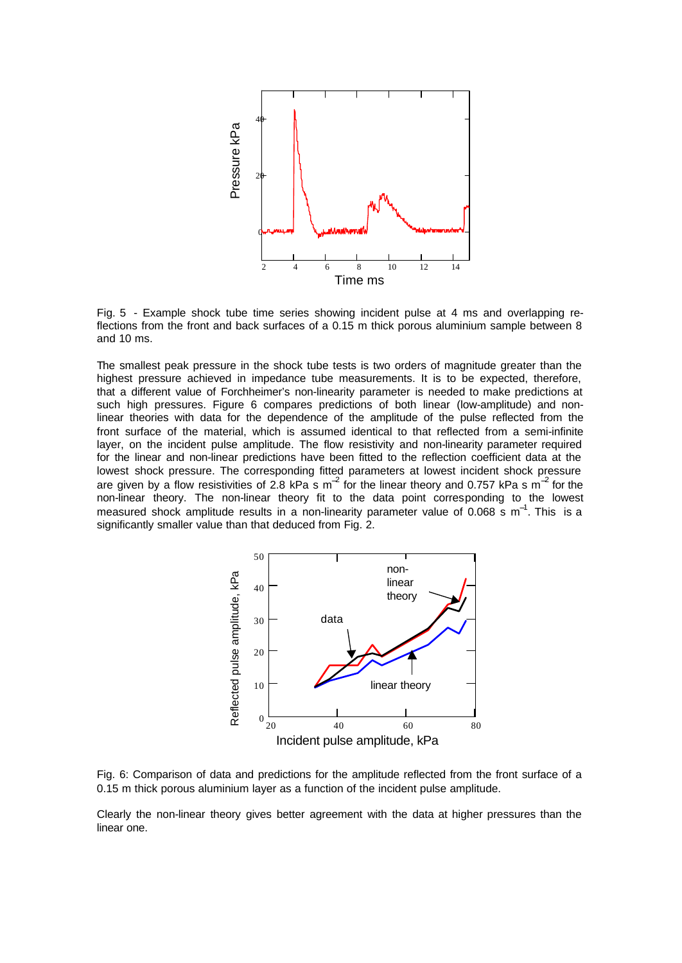

Fig. 5 - Example shock tube time series showing incident pulse at 4 ms and overlapping reflections from the front and back surfaces of a 0.15 m thick porous aluminium sample between 8 and 10 ms.

The smallest peak pressure in the shock tube tests is two orders of magnitude greater than the highest pressure achieved in impedance tube measurements. It is to be expected, therefore, that a different value of Forchheimer's non-linearity parameter is needed to make predictions at such high pressures. Figure 6 compares predictions of both linear (low-amplitude) and nonlinear theories with data for the dependence of the amplitude of the pulse reflected from the front surface of the material, which is assumed identical to that reflected from a semi-infinite layer, on the incident pulse amplitude. The flow resistivity and non-linearity parameter required for the linear and non-linear predictions have been fitted to the reflection coefficient data at the lowest shock pressure. The corresponding fitted parameters at lowest incident shock pressure are given by a flow resistivities of 2.8 kPa s m<sup>-2</sup> for the linear theory and 0.757 kPa s m<sup>-2</sup> for the non-linear theory. The non-linear theory fit to the data point corresponding to the lowest measured shock amplitude results in a non-linearity parameter value of 0.068 s m<sup>-1</sup>. This is a significantly smaller value than that deduced from Fig. 2.



Fig. 6: Comparison of data and predictions for the amplitude reflected from the front surface of a 0.15 m thick porous aluminium layer as a function of the incident pulse amplitude.

Clearly the non-linear theory gives better agreement with the data at higher pressures than the linear one.